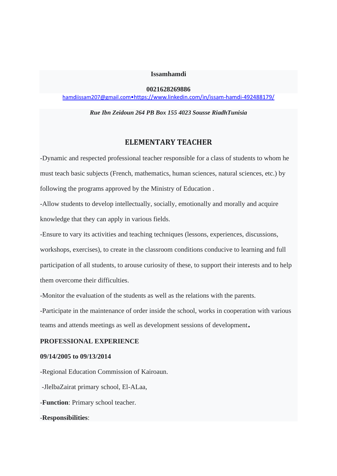**Issamhamdi**

**0021628269886**

hamdiissam207@gmail.com[•https://www.linkedin.com/in/issam](mailto:hamdiissam207@gmail.com•https://www.linkedin.com/in/issam-hamdi-492488179/)-hamdi[-492488179/](mailto:hamdiissam207@gmail.com•https://www.linkedin.com/in/issam-hamdi-492488179/)

*Rue Ibn Zeidoun 264 PB Box 155 4023 Sousse RiadhTunisia*

# **ELEMENTARY TEACHER**

-Dynamic and respected professional teacher responsible for a class of students to whom he must teach basic subjects (French, mathematics, human sciences, natural sciences, etc.) by following the programs approved by the Ministry of Education .

-Allow students to develop intellectually, socially, emotionally and morally and acquire knowledge that they can apply in various fields.

-Ensure to vary its activities and teaching techniques (lessons, experiences, discussions, workshops, exercises), to create in the classroom conditions conducive to learning and full participation of all students, to arouse curiosity of these, to support their interests and to help them overcome their difficulties.

-Monitor the evaluation of the students as well as the relations with the parents.

-Participate in the maintenance of order inside the school, works in cooperation with various teams and attends meetings as well as development sessions of development.

#### **PROFESSIONAL EXPERIENCE**

## **09/14/2005 to 09/13/2014**

-Regional Education Commission of Kairoaun.

-JlelbaZairat primary school, El-ALaa,

-**Function**: Primary school teacher.

#### -**Responsibilities**: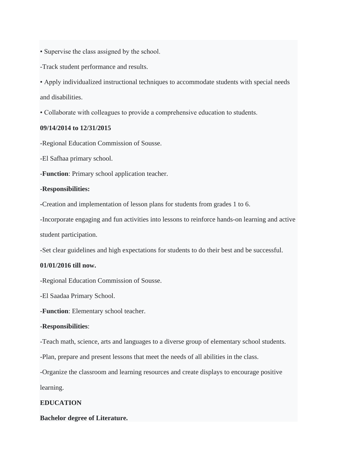- Supervise the class assigned by the school.
- -Track student performance and results.

• Apply individualized instructional techniques to accommodate students with special needs and disabilities.

• Collaborate with colleagues to provide a comprehensive education to students.

## **09/14/2014 to 12/31/2015**

-Regional Education Commission of Sousse.

-El Safhaa primary school.

-**Function**: Primary school application teacher.

### -**Responsibilities:**

**-**Creation and implementation of lesson plans for students from grades 1 to 6.

-Incorporate engaging and fun activities into lessons to reinforce hands-on learning and active student participation.

-Set clear guidelines and high expectations for students to do their best and be successful.

#### **01/01/2016 till now.**

-Regional Education Commission of Sousse.

-El Saadaa Primary School.

-**Function**: Elementary school teacher.

#### -**Responsibilities**:

-Teach math, science, arts and languages to a diverse group of elementary school students.

-Plan, prepare and present lessons that meet the needs of all abilities in the class.

-Organize the classroom and learning resources and create displays to encourage positive

learning.

## **EDUCATION**

## **Bachelor degree of Literature.**